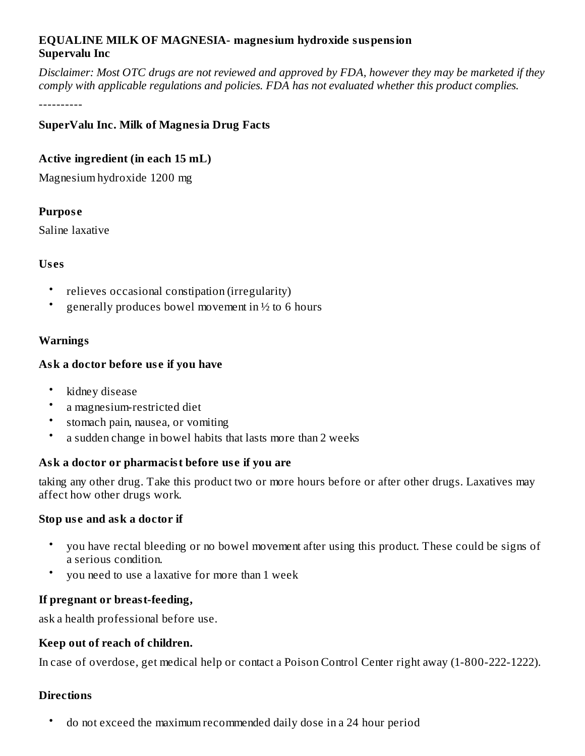### **EQUALINE MILK OF MAGNESIA- magnesium hydroxide suspension Supervalu Inc**

Disclaimer: Most OTC drugs are not reviewed and approved by FDA, however they may be marketed if they *comply with applicable regulations and policies. FDA has not evaluated whether this product complies.*

----------

### **SuperValu Inc. Milk of Magnesia Drug Facts**

### **Active ingredient (in each 15 mL)**

Magnesium hydroxide 1200 mg

### **Purpos e**

Saline laxative

### **Us es**

- relieves occasional constipation (irregularity)
- generally produces bowel movement in ½ to 6 hours

# **Warnings**

# **Ask a doctor before us e if you have**

- kidney disease
- a magnesium-restricted diet
- stomach pain, nausea, or vomiting
- a sudden change in bowel habits that lasts more than 2 weeks

# **Ask a doctor or pharmacist before us e if you are**

taking any other drug. Take this product two or more hours before or after other drugs. Laxatives may affect how other drugs work.

### **Stop us e and ask a doctor if**

- you have rectal bleeding or no bowel movement after using this product. These could be signs of a serious condition.
- you need to use a laxative for more than 1 week

# **If pregnant or breast-feeding,**

ask a health professional before use.

### **Keep out of reach of children.**

In case of overdose, get medical help or contact a Poison Control Center right away (1-800-222-1222).

# **Directions**

• do not exceed the maximum recommended daily dose in a 24 hour period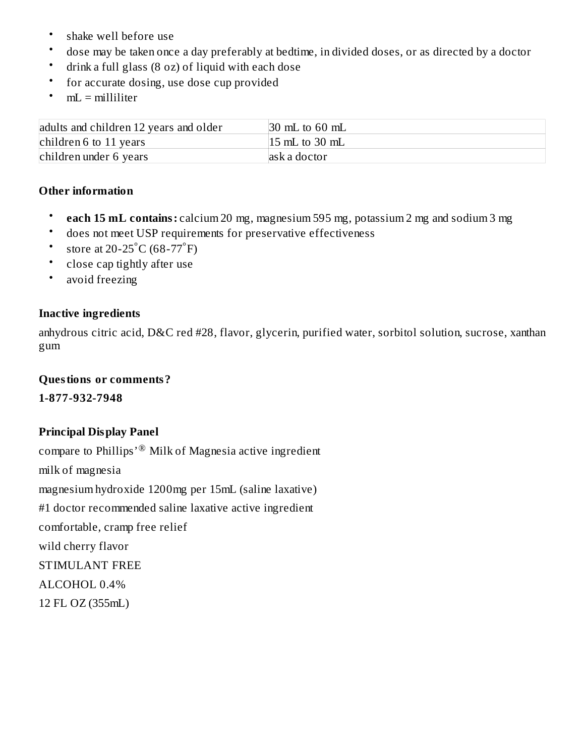- shake well before use
- dose may be taken once a day preferably at bedtime, in divided doses, or as directed by a doctor
- drink a full glass (8 oz) of liquid with each dose
- for accurate dosing, use dose cup provided
- $mL =$  milliliter

| adults and children 12 years and older | $\vert$ 30 mL to 60 mL    |
|----------------------------------------|---------------------------|
| children 6 to 11 years                 | $ 15 \text{ mL}$ to 30 mL |
| children under 6 years                 | ask a doctor              |

#### **Other information**

- **each 15 mL contains:** calcium 20 mg, magnesium 595 mg, potassium 2 mg and sodium 3 mg
- does not meet USP requirements for preservative effectiveness
- store at 20-25 $^{\circ}$ C (68-77 $^{\circ}$ F)
- close cap tightly after use
- avoid freezing

#### **Inactive ingredients**

anhydrous citric acid, D&C red #28, flavor, glycerin, purified water, sorbitol solution, sucrose, xanthan gum

#### **Questions or comments?**

**1-877-932-7948**

### **Principal Display Panel**

compare to Phillips' $^{\circledR}$  Milk of Magnesia active ingredient milk of magnesia magnesium hydroxide 1200mg per 15mL (saline laxative) #1 doctor recommended saline laxative active ingredient comfortable, cramp free relief wild cherry flavor STIMULANT FREE ALCOHOL 0.4% 12 FL OZ (355mL)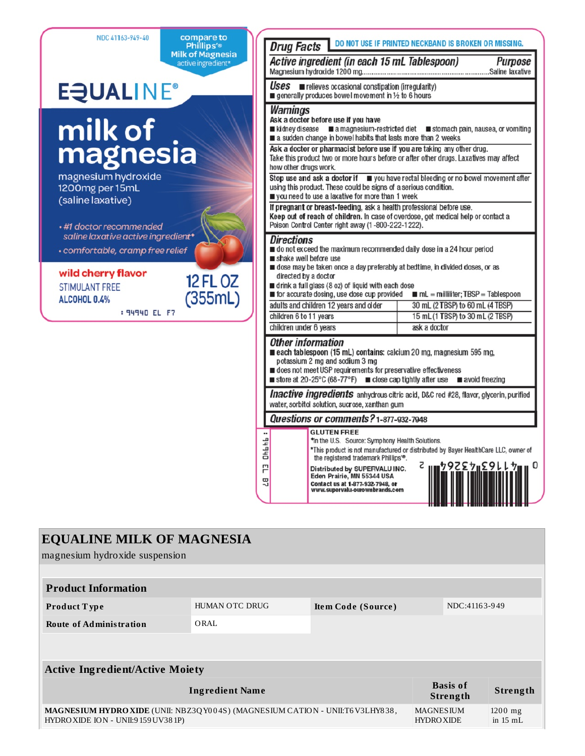NDC 41163-949-40 compare to DO NOT USE IF PRINTED NECKBAND IS BROKEN OR MISSING. **Drug Facts** Phillips'® Milk of Magnesia Active ingredient (in each 15 mL Tablespoon) Purpose active ingredient\* Saline laxative Uses relieves occasional constination (irregularity) **E**JUALINE® generally produces bowel movement in 1/2 to 6 hours Warnings Ask a doctor before use if you have milk of ■ kidney disease ■ a magnesium-restricted diet ■ stomach pain, nausea, or vomiting a sudden change in bowel habits that lasts more than 2 weeks magnesia Ask a doctor or pharmacist before use if you are taking any other drug. Take this product two or more hours before or after other drugs. Laxatives may affect how other drugs work. magnesium hydroxide Stop use and ask a doctor if  $\Box$  you have rectal bleeding or no bowel movement after using this product. These could be signs of a serious condition. 1200mg per 15mL vou need to use a laxative for more than 1 week (saline laxative) If pregnant or breast-feeding, ask a health professional before use. Keep out of reach of children. In case of overdose, get medical help or contact a Poison Control Center right away (1-800-222-1222). •#1 doctor recommended saline laxative active ingredient\* *Directions* do not exceed the maximum recommended daily dose in a 24 hour period • comfortable, cramp free relief shake well before use dose may be taken once a day preferably at bedtime, in divided doses, or as wild cherry flavor directed by a doctor **12 FL OZ** drink a full glass (8 oz) of liquid with each dose **STIMULANT FREE**  $mL =$  milliliter; TBSP = Tablespoon for accurate dosing, use dose cup provided  $(355mL)$ ALCOHOL 0.4% adults and children 12 years and older 30 mL (2 TBSP) to 60 mL (4 TBSP) : 94940 EL F7 children 6 to 11 years 15 mL (1 TBSP) to 30 mL (2 TBSP) children under 6 years ask a doctor Other information each tablespoon (15 mL) contains: calcium 20 mg, magnesium 595 mg, potassium 2 mg and sodium 3 mg does not meet USP requirements for preservative effectiveness ■ store at 20-25°C (68-77°F) ■ close cap tightly after use ■ avoid freezing Inactive ingredients anhydrous citric acid, D&C red #28, flavor, glycerin, purified water, sorbitol solution, sucrose, xanthan gum Questions or comments? 1-877-932-7948 **GLUTEN FREE** 

\*In the U.S. Source: Symphony Health Solutions.

\*This product is not manufactured or distributed by Bayer HealthCare LLC, owner of the registered trademark Phillips<sup>19</sup>. Z

Distributed by SUPERVALU INC. Eden Prairie, MN 55344 USA

Contact us at 1-877-932-7948, or<br>www.supervalu-ourownbrands.com

<u>פלו225, 2955, 29</u>

0

| <b>EQUALINE MILK OF MAGNESIA</b><br>magnesium hydroxide suspension                                                           |                       |                    |                                       |                                 |  |  |  |  |  |
|------------------------------------------------------------------------------------------------------------------------------|-----------------------|--------------------|---------------------------------------|---------------------------------|--|--|--|--|--|
| <b>Product Information</b>                                                                                                   |                       |                    |                                       |                                 |  |  |  |  |  |
| Product Type                                                                                                                 | <b>HUMAN OTC DRUG</b> | Item Code (Source) |                                       | NDC:41163-949                   |  |  |  |  |  |
| <b>Route of Administration</b>                                                                                               | ORAL                  |                    |                                       |                                 |  |  |  |  |  |
|                                                                                                                              |                       |                    |                                       |                                 |  |  |  |  |  |
| <b>Active Ingredient/Active Moiety</b>                                                                                       |                       |                    |                                       |                                 |  |  |  |  |  |
| <b>Ingredient Name</b>                                                                                                       |                       |                    | <b>Basis of</b><br>Strength           | Strength                        |  |  |  |  |  |
| <b>MAGNESIUM HYDRO XIDE</b> (UNII: NBZ3Q Y004S) (MAGNESIUM CATION - UNII:T6 V3LHY838,<br>HYDROXIDE ION - UNII:9 159 UV38 1P) |                       |                    | <b>MAGNESIUM</b><br><b>HYDRO XIDE</b> | $1200$ mg<br>in $15 \text{ mL}$ |  |  |  |  |  |

**Ohbhb** 

77

57